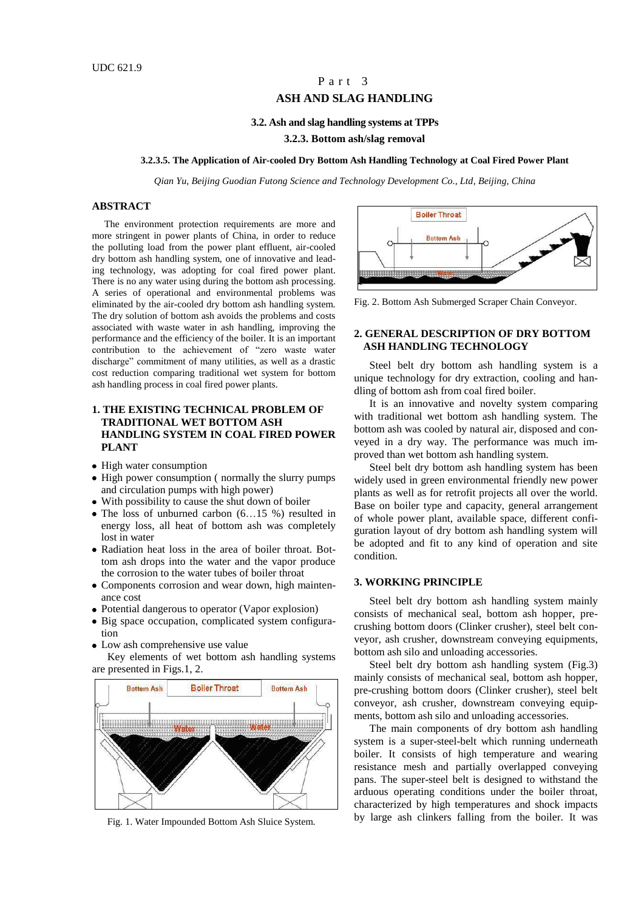## Part 3

## **ASH AND SLAG HANDLING**

#### **3.2[. Ash and slag handling systems at TPPs](http://osi.ecopower.ru/en/ash-handling/itemlist/category/122-32-системы-золошлакоудаления-тэс.html)**

#### **3.2.3. Bottom ash/slag removal**

#### **3.2.3.5. The Application of Air-cooled Dry Bottom Ash Handling Technology at Coal Fired Power Plant**

*Qian Yu, Beijing Guodian Futong Science and Technology Development Co., Ltd, Beijing, China*

## **ABSTRACT**

The environment protection requirements are more and more stringent in power plants of China, in order to reduce the polluting load from the power plant effluent, air-cooled dry bottom ash handling system, one of innovative and leading technology, was adopting for coal fired power plant. There is no any water using during the bottom ash processing. A series of operational and environmental problems was eliminated by the air-cooled dry bottom ash handling system. The dry solution of bottom ash avoids the problems and costs associated with waste water in ash handling, improving the performance and the efficiency of the boiler. It is an important contribution to the achievement of "zero waste water discharge" commitment of many utilities, as well as a drastic cost reduction comparing traditional wet system for bottom ash handling process in coal fired power plants.

# **1. THE EXISTING TECHNICAL PROBLEM OF TRADITIONAL WET BOTTOM ASH HANDLING SYSTEM IN COAL FIRED POWER PLANT**

- High water consumption
- High power consumption ( normally the slurry pumps and circulation pumps with high power)
- With possibility to cause the shut down of boiler
- The loss of unburned carbon (6...15 %) resulted in energy loss, all heat of bottom ash was completely lost in water
- Radiation heat loss in the area of boiler throat. Bottom ash drops into the water and the vapor produce the corrosion to the water tubes of boiler throat
- Components corrosion and wear down, high maintenance cost
- Potential dangerous to operator (Vapor explosion)
- $\bullet$  Big space occupation, complicated system configuration
- Low ash comprehensive use value

Key elements of wet bottom ash handling systems are presented in Figs.1, 2.



Fig. 1. Water Impounded Bottom Ash Sluice System.



Fig. 2. Bottom Ash Submerged Scraper Chain Conveyor.

## **2. GENERAL DESCRIPTION OF DRY BOTTOM ASH HANDLING TECHNOLOGY**

Steel belt dry bottom ash handling system is a unique technology for dry extraction, cooling and handling of bottom ash from coal fired boiler.

It is an innovative and novelty system comparing with traditional wet bottom ash handling system. The bottom ash was cooled by natural air, disposed and conveyed in a dry way. The performance was much improved than wet bottom ash handling system.

Steel belt dry bottom ash handling system has been widely used in green environmental friendly new power plants as well as for retrofit projects all over the world. Base on boiler type and capacity, general arrangement of whole power plant, available space, different configuration layout of dry bottom ash handling system will be adopted and fit to any kind of operation and site condition.

### **3. WORKING PRINCIPLE**

Steel belt dry bottom ash handling system mainly consists of mechanical seal, bottom ash hopper, precrushing bottom doors (Clinker crusher), steel belt conveyor, ash crusher, downstream conveying equipments, bottom ash silo and unloading accessories.

Steel belt dry bottom ash handling system (Fig.3) mainly consists of mechanical seal, bottom ash hopper, pre-crushing bottom doors (Clinker crusher), steel belt conveyor, ash crusher, downstream conveying equipments, bottom ash silo and unloading accessories.

The main components of dry bottom ash handling system is a super-steel-belt which running underneath boiler. It consists of high temperature and wearing resistance mesh and partially overlapped conveying pans. The super-steel belt is designed to withstand the arduous operating conditions under the boiler throat, characterized by high temperatures and shock impacts by large ash clinkers falling from the boiler. It was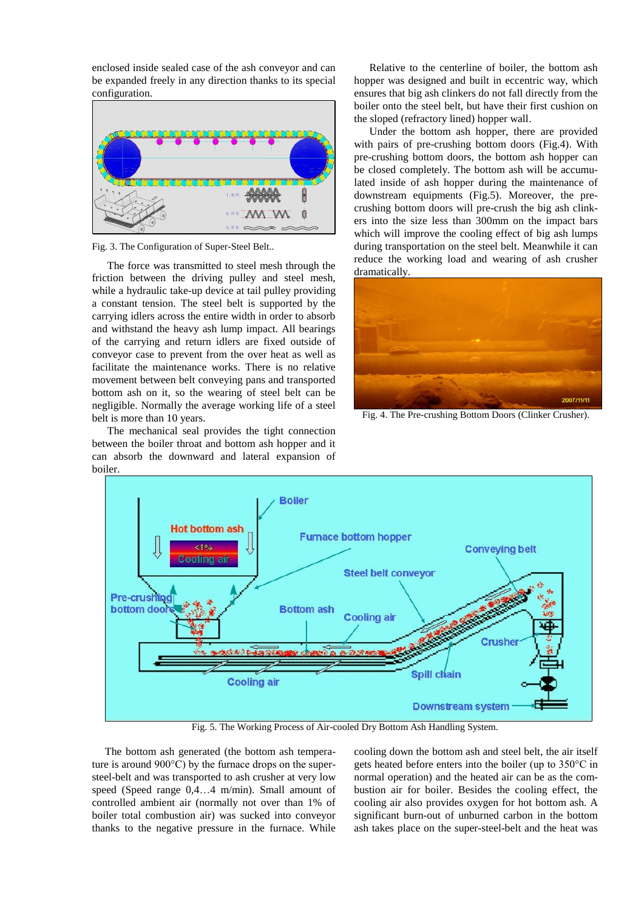enclosed inside sealed case of the ash conveyor and can be expanded freely in any direction thanks to its special configuration.



Fig. 3. The Configuration of Super-Steel Belt..

The force was transmitted to steel mesh through the friction between the driving pulley and steel mesh, while a hydraulic take-up device at tail pulley providing a constant tension. The steel belt is supported by the carrying idlers across the entire width in order to absorb and withstand the heavy ash lump impact. All bearings of the carrying and return idlers are fixed outside of conveyor case to prevent from the over heat as well as facilitate the maintenance works. There is no relative movement between belt conveying pans and transported bottom ash on it, so the wearing of steel belt can be negligible. Normally the average working life of a steel belt is more than 10 years.

The mechanical seal provides the tight connection between the boiler throat and bottom ash hopper and it can absorb the downward and lateral expansion of boiler.

Relative to the centerline of boiler, the bottom ash hopper was designed and built in eccentric way, which ensures that big ash clinkers do not fall directly from the boiler onto the steel belt, but have their first cushion on the sloped (refractory lined) hopper wall.

Under the bottom ash hopper, there are provided with pairs of pre-crushing bottom doors (Fig.4). With pre-crushing bottom doors, the bottom ash hopper can be closed completely. The bottom ash will be accumulated inside of ash hopper during the maintenance of downstream equipments (Fig.5). Moreover, the precrushing bottom doors will pre-crush the big ash clinkers into the size less than 300mm on the impact bars which will improve the cooling effect of big ash lumps during transportation on the steel belt. Meanwhile it can reduce the working load and wearing of ash crusher dramatically.



Fig. 4. The Pre-crushing Bottom Doors (Clinker Crusher).



Fig. 5. The Working Process of Air-cooled Dry Bottom Ash Handling System.

The bottom ash generated (the bottom ash temperature is around 900°C) by the furnace drops on the supersteel-belt and was transported to ash crusher at very low speed (Speed range 0,4…4 m/min). Small amount of controlled ambient air (normally not over than 1% of boiler total combustion air) was sucked into conveyor thanks to the negative pressure in the furnace. While cooling down the bottom ash and steel belt, the air itself gets heated before enters into the boiler (up to 350°C in normal operation) and the heated air can be as the combustion air for boiler. Besides the cooling effect, the cooling air also provides oxygen for hot bottom ash. A significant burn-out of unburned carbon in the bottom ash takes place on the super-steel-belt and the heat was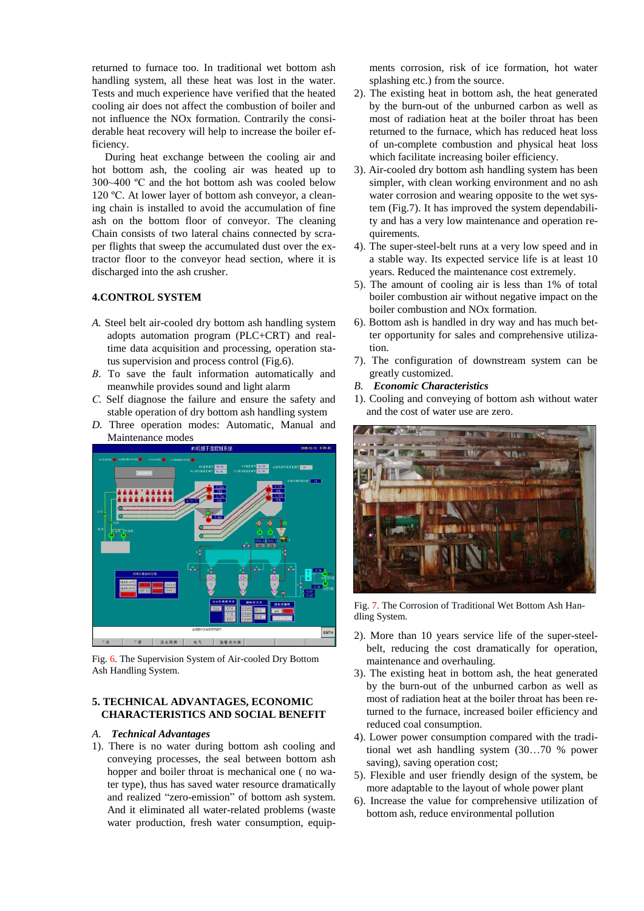returned to furnace too. In traditional wet bottom ash handling system, all these heat was lost in the water. Tests and much experience have verified that the heated cooling air does not affect the combustion of boiler and not influence the NOx formation. Contrarily the considerable heat recovery will help to increase the boiler efficiency.

During heat exchange between the cooling air and hot bottom ash, the cooling air was heated up to 300~400 ºС and the hot bottom ash was cooled below 120 °C. At lower layer of bottom ash conveyor, a cleaning chain is installed to avoid the accumulation of fine ash on the bottom floor of conveyor. The cleaning Chain consists of two lateral chains connected by scraper flights that sweep the accumulated dust over the extractor floor to the conveyor head section, where it is discharged into the ash crusher.

### **4.CONTROL SYSTEM**

- *A.* Steel belt air-cooled dry bottom ash handling system adopts automation program (PLC+CRT) and realtime data acquisition and processing, operation status supervision and process control (Fig.6).
- *В.* To save the fault information automatically and meanwhile provides sound and light alarm
- *С.* Self diagnose the failure and ensure the safety and stable operation of dry bottom ash handling system
- *D.* Three operation modes: Automatic, Manual and Maintenance modes



Fig. 6. The Supervision System of Air-cooled Dry Bottom Ash Handling System.

### **5. TECHNICAL ADVANTAGES, ECONOMIC CHARACTERISTICS AND SOCIAL BENEFIT**

### *A. Technical Advantages*

1). There is no water during bottom ash cooling and conveying processes, the seal between bottom ash hopper and boiler throat is mechanical one ( no water type), thus has saved water resource dramatically and realized "zero-emission" of bottom ash system. And it eliminated all water-related problems (waste water production, fresh water consumption, equipments corrosion, risk of ice formation, hot water splashing etc.) from the source.

- 2). The existing heat in bottom ash, the heat generated by the burn-out of the unburned carbon as well as most of radiation heat at the boiler throat has been returned to the furnace, which has reduced heat loss of un-complete combustion and physical heat loss which facilitate increasing boiler efficiency.
- 3). Air-cooled dry bottom ash handling system has been simpler, with clean working environment and no ash water corrosion and wearing opposite to the wet system (Fig.7). It has improved the system dependability and has a very low maintenance and operation requirements.
- 4). The super-steel-belt runs at a very low speed and in a stable way. Its expected service life is at least 10 years. Reduced the maintenance cost extremely.
- 5). The amount of cooling air is less than 1% of total boiler combustion air without negative impact on the boiler combustion and NOx formation.
- 6). Bottom ash is handled in dry way and has much better opportunity for sales and comprehensive utilization.
- 7). The configuration of downstream system can be greatly customized.
- *B. Economic Characteristics*
- 1). Cooling and conveying of bottom ash without water and the cost of water use are zero.



Fig. 7. The Corrosion of Traditional Wet Bottom Ash Handling System.

- 2). More than 10 years service life of the super-steelbelt, reducing the cost dramatically for operation, maintenance and overhauling.
- 3). The existing heat in bottom ash, the heat generated by the burn-out of the unburned carbon as well as most of radiation heat at the boiler throat has been returned to the furnace, increased boiler efficiency and reduced coal consumption.
- 4). Lower power consumption compared with the traditional wet ash handling system (30…70 % power saving), saving operation cost;
- 5). Flexible and user friendly design of the system, be more adaptable to the layout of whole power plant
- 6). Increase the value for comprehensive utilization of bottom ash, reduce environmental pollution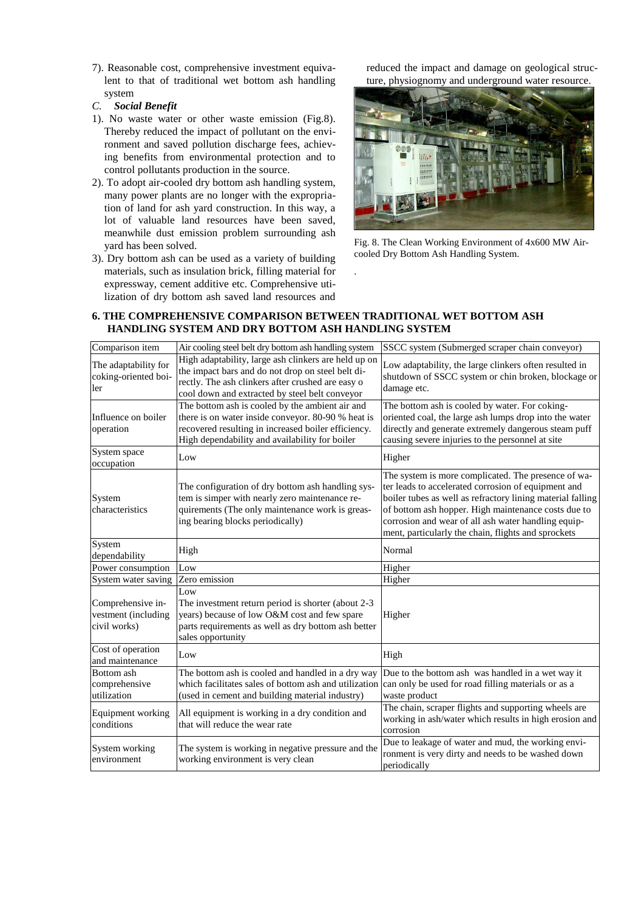- 7). Reasonable cost, comprehensive investment equivalent to that of traditional wet bottom ash handling system
- *C. Social Benefit*
- 1). No waste water or other waste emission (Fig.8). Thereby reduced the impact of pollutant on the environment and saved pollution discharge fees, achieving benefits from environmental protection and to control pollutants production in the source.
- 2). To adopt air-cooled dry bottom ash handling system, many power plants are no longer with the expropriation of land for ash yard construction. In this way, a lot of valuable land resources have been saved, meanwhile dust emission problem surrounding ash yard has been solved.
- 3). Dry bottom ash can be used as a variety of building materials, such as insulation brick, filling material for expressway, cement additive etc. Comprehensive utilization of dry bottom ash saved land resources and

reduced the impact and damage on geological structure, physiognomy and underground water resource.



Fig. 8. The Clean Working Environment of 4x600 MW Aircooled Dry Bottom Ash Handling System.

# **6. THE COMPREHENSIVE COMPARISON BETWEEN TRADITIONAL WET BOTTOM ASH HANDLING SYSTEM AND DRY BOTTOM ASH HANDLING SYSTEM**

.

| Comparison item                                          | Air cooling steel belt dry bottom ash handling system                                                                                                                                                            | SSCC system (Submerged scraper chain conveyor)                                                                                                                                                                                                                                                                                                |
|----------------------------------------------------------|------------------------------------------------------------------------------------------------------------------------------------------------------------------------------------------------------------------|-----------------------------------------------------------------------------------------------------------------------------------------------------------------------------------------------------------------------------------------------------------------------------------------------------------------------------------------------|
| The adaptability for<br>coking-oriented boi-<br>ler      | High adaptability, large ash clinkers are held up on<br>the impact bars and do not drop on steel belt di-<br>rectly. The ash clinkers after crushed are easy o<br>cool down and extracted by steel belt conveyor | Low adaptability, the large clinkers often resulted in<br>shutdown of SSCC system or chin broken, blockage or<br>damage etc.                                                                                                                                                                                                                  |
| Influence on boiler<br>operation                         | The bottom ash is cooled by the ambient air and<br>there is on water inside conveyor. 80-90 % heat is<br>recovered resulting in increased boiler efficiency.<br>High dependability and availability for boiler   | The bottom ash is cooled by water. For coking-<br>oriented coal, the large ash lumps drop into the water<br>directly and generate extremely dangerous steam puff<br>causing severe injuries to the personnel at site                                                                                                                          |
| System space<br>occupation                               | Low                                                                                                                                                                                                              | Higher                                                                                                                                                                                                                                                                                                                                        |
| System<br>characteristics                                | The configuration of dry bottom ash handling sys-<br>tem is simper with nearly zero maintenance re-<br>quirements (The only maintenance work is greas-<br>ing bearing blocks periodically)                       | The system is more complicated. The presence of wa-<br>ter leads to accelerated corrosion of equipment and<br>boiler tubes as well as refractory lining material falling<br>of bottom ash hopper. High maintenance costs due to<br>corrosion and wear of all ash water handling equip-<br>ment, particularly the chain, flights and sprockets |
| System<br>dependability                                  | High                                                                                                                                                                                                             | Normal                                                                                                                                                                                                                                                                                                                                        |
| Power consumption                                        | Low                                                                                                                                                                                                              | Higher                                                                                                                                                                                                                                                                                                                                        |
| System water saving                                      | Zero emission                                                                                                                                                                                                    | Higher                                                                                                                                                                                                                                                                                                                                        |
| Comprehensive in-<br>vestment (including<br>civil works) | Low<br>The investment return period is shorter (about 2-3)<br>years) because of low O&M cost and few spare<br>parts requirements as well as dry bottom ash better<br>sales opportunity                           | Higher                                                                                                                                                                                                                                                                                                                                        |
| Cost of operation<br>and maintenance                     | Low                                                                                                                                                                                                              | High                                                                                                                                                                                                                                                                                                                                          |
| <b>Bottom</b> ash<br>comprehensive<br>utilization        | The bottom ash is cooled and handled in a dry way<br>which facilitates sales of bottom ash and utilization<br>(used in cement and building material industry)                                                    | Due to the bottom ash was handled in a wet way it<br>can only be used for road filling materials or as a<br>waste product                                                                                                                                                                                                                     |
| Equipment working<br>conditions                          | All equipment is working in a dry condition and<br>that will reduce the wear rate                                                                                                                                | The chain, scraper flights and supporting wheels are<br>working in ash/water which results in high erosion and<br>corrosion                                                                                                                                                                                                                   |
| System working<br>environment                            | The system is working in negative pressure and the<br>working environment is very clean                                                                                                                          | Due to leakage of water and mud, the working envi-<br>ronment is very dirty and needs to be washed down<br>periodically                                                                                                                                                                                                                       |